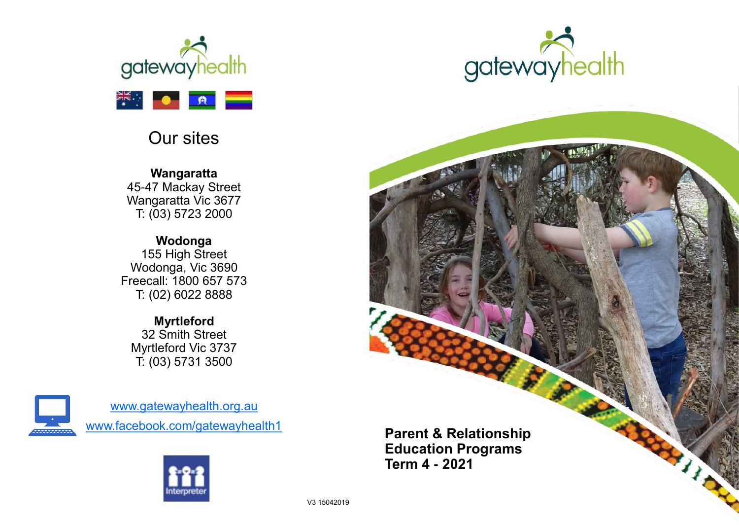

## Our sites

**Wangaratta** 45-47 Mackay Street Wangaratta Vic 3677 T: (03) 5723 2000

**Wodonga** 155 High Street Wodonga, Vic 3690 Freecall: 1800 657 573 T: (02) 6022 8888

**Myrtleford** 32 Smith Street Myrtleford Vic 3737 T: (03) 5731 3500



[www.gatewayhealth.org.au](http://www.ovensandking.org.au) [www.facebook.com/gatewayhealth1](http://www.facebook.com/okchs)





**Parent & Relationship Education Programs Term 4 - 2021**